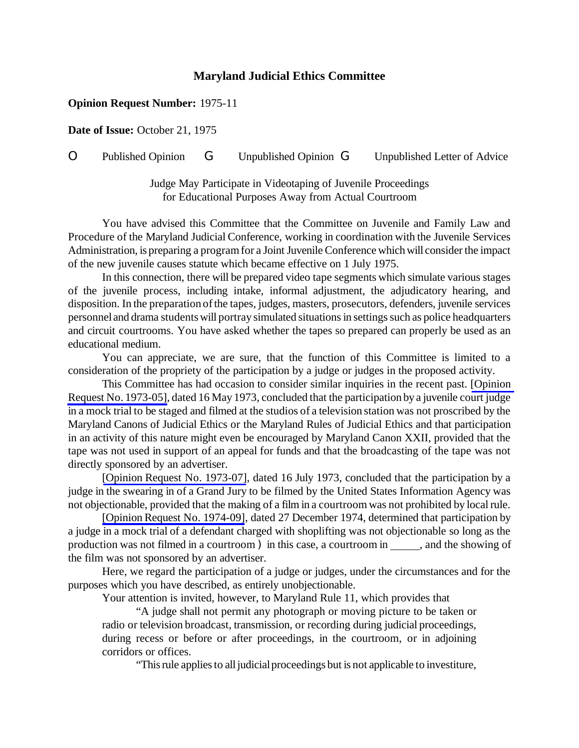## **Maryland Judicial Ethics Committee**

## **Opinion Request Number:** 1975-11

**Date of Issue:** October 21, 1975

O Published Opinion G Unpublished Opinion G Unpublished Letter of Advice

Judge May Participate in Videotaping of Juvenile Proceedings for Educational Purposes Away from Actual Courtroom

You have advised this Committee that the Committee on Juvenile and Family Law and Procedure of the Maryland Judicial Conference, working in coordination with the Juvenile Services Administration, is preparing a program for a Joint Juvenile Conference which will consider the impact of the new juvenile causes statute which became effective on 1 July 1975.

In this connection, there will be prepared video tape segments which simulate various stages of the juvenile process, including intake, informal adjustment, the adjudicatory hearing, and disposition. In the preparation of the tapes, judges, masters, prosecutors, defenders, juvenile services personnel and drama students will portray simulated situations in settings such as police headquarters and circuit courtrooms. You have asked whether the tapes so prepared can properly be used as an educational medium.

You can appreciate, we are sure, that the function of this Committee is limited to a consideration of the propriety of the participation by a judge or judges in the proposed activity.

This Committee has had occasion to consider similar inquiries in the recent past. [\[Opinion](http://www.mdcourts.gov/ethics/pdfs/1973-05.pdf) Request No. [1973-05\],](http://www.mdcourts.gov/ethics/pdfs/1973-05.pdf) dated 16 May 1973, concluded that the participation by a juvenile court judge in a mock trial to be staged and filmed at the studios of a television station was not proscribed by the Maryland Canons of Judicial Ethics or the Maryland Rules of Judicial Ethics and that participation in an activity of this nature might even be encouraged by Maryland Canon XXII, provided that the tape was not used in support of an appeal for funds and that the broadcasting of the tape was not directly sponsored by an advertiser.

[Opinion Request No. [1973-07\]](http://www.mdcourts.gov/ethics/pdfs/1973-07.pdf), dated 16 July 1973, concluded that the participation by a judge in the swearing in of a Grand Jury to be filmed by the United States Information Agency was not objectionable, provided that the making of a film in a courtroomwas not prohibited by localrule.

[Opinion Request No. [1974-09\]](http://www.mdcourts.gov/ethics/pdfs/1974-09.pdf), dated 27 December 1974, determined that participation by a judge in a mock trial of a defendant charged with shoplifting was not objectionable so long as the production was not filmed in a courtroom ) in this case, a courtroom in \_\_\_\_\_\_, and the showing of the film was not sponsored by an advertiser.

Here, we regard the participation of a judge or judges, under the circumstances and for the purposes which you have described, as entirely unobjectionable.

Your attention is invited, however, to Maryland Rule 11, which provides that

"A judge shall not permit any photograph or moving picture to be taken or radio or television broadcast, transmission, or recording during judicial proceedings, during recess or before or after proceedings, in the courtroom, or in adjoining corridors or offices.

"This rule applies to all judicial proceedings but is not applicable to investiture,